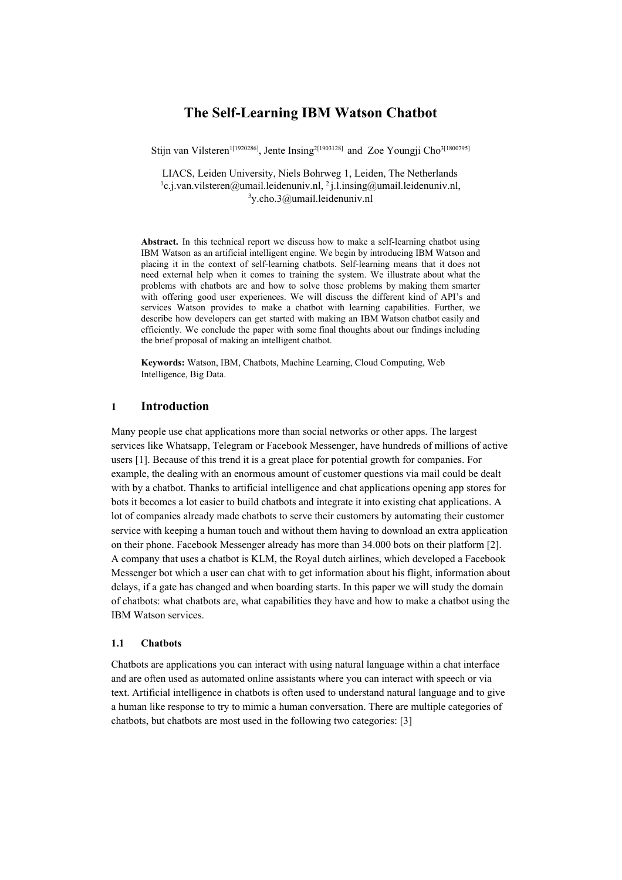# **The Self-Learning IBM Watson Chatbot**

Stijn van Vilsteren<sup>1[1920286]</sup>, Jente Insing<sup>2[1903128]</sup> and Zoe Youngji Cho<sup>3[1800795]</sup>

LIACS, Leiden University, Niels Bohrweg 1, Leiden, The Netherlands <sup>1</sup>c.j.van.vilsteren@umail.leidenuniv.nl, <sup>2</sup>j.l.insing@umail.leidenuniv.nl,  $3\gamma$ .cho.3@umail.leidenuniv.nl

**Abstract.** In this technical report we discuss how to make a self-learning chatbot using IBM Watson as an artificial intelligent engine. We begin by introducing IBM Watson and placing it in the context of self-learning chatbots. Self-learning means that it does not need external help when it comes to training the system. We illustrate about what the problems with chatbots are and how to solve those problems by making them smarter with offering good user experiences. We will discuss the different kind of API's and services Watson provides to make a chatbot with learning capabilities. Further, we describe how developers can get started with making an IBM Watson chatbot easily and efficiently. We conclude the paper with some final thoughts about our findings including the brief proposal of making an intelligent chatbot.

**Keywords:** Watson, IBM, Chatbots, Machine Learning, Cloud Computing, Web Intelligence, Big Data.

## **1 Introduction**

Many people use chat applications more than social networks or other apps. The largest services like Whatsapp, Telegram or Facebook Messenger, have hundreds of millions of active users [1]. Because of this trend it is a great place for potential growth for companies. For example, the dealing with an enormous amount of customer questions via mail could be dealt with by a chatbot. Thanks to artificial intelligence and chat applications opening app stores for bots it becomes a lot easier to build chatbots and integrate it into existing chat applications. A lot of companies already made chatbots to serve their customers by automating their customer service with keeping a human touch and without them having to download an extra application on their phone. Facebook Messenger already has more than 34.000 bots on their platform [2]. A company that uses a chatbot is KLM, the Royal dutch airlines, which developed a Facebook Messenger bot which a user can chat with to get information about his flight, information about delays, if a gate has changed and when boarding starts. In this paper we will study the domain of chatbots: what chatbots are, what capabilities they have and how to make a chatbot using the IBM Watson services.

## **1.1 Chatbots**

Chatbots are applications you can interact with using natural language within a chat interface and are often used as automated online assistants where you can interact with speech or via text. Artificial intelligence in chatbots is often used to understand natural language and to give a human like response to try to mimic a human conversation. There are multiple categories of chatbots, but chatbots are most used in the following two categories: [3]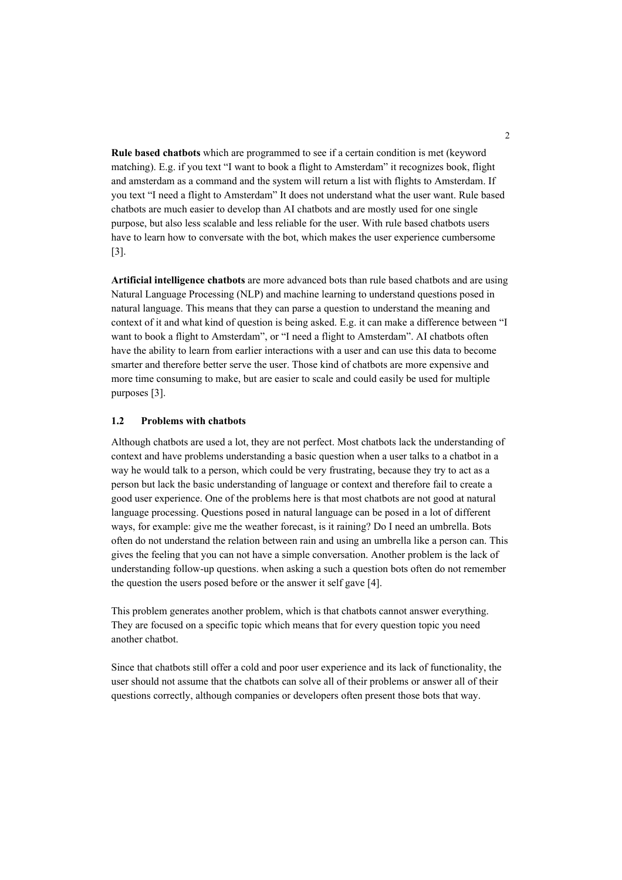**Rule based chatbots** which are programmed to see if a certain condition is met (keyword matching). E.g. if you text "I want to book a flight to Amsterdam" it recognizes book, flight and amsterdam as a command and the system will return a list with flights to Amsterdam. If you text "I need a flight to Amsterdam" It does not understand what the user want. Rule based chatbots are much easier to develop than AI chatbots and are mostly used for one single purpose, but also less scalable and less reliable for the user. With rule based chatbots users have to learn how to conversate with the bot, which makes the user experience cumbersome [3].

**Artificial intelligence chatbots** are more advanced bots than rule based chatbots and are using Natural Language Processing (NLP) and machine learning to understand questions posed in natural language. This means that they can parse a question to understand the meaning and context of it and what kind of question is being asked. E.g. it can make a difference between "I want to book a flight to Amsterdam", or "I need a flight to Amsterdam". AI chatbots often have the ability to learn from earlier interactions with a user and can use this data to become smarter and therefore better serve the user. Those kind of chatbots are more expensive and more time consuming to make, but are easier to scale and could easily be used for multiple purposes [3].

#### **1.2 Problems with chatbots**

Although chatbots are used a lot, they are not perfect. Most chatbots lack the understanding of context and have problems understanding a basic question when a user talks to a chatbot in a way he would talk to a person, which could be very frustrating, because they try to act as a person but lack the basic understanding of language or context and therefore fail to create a good user experience. One of the problems here is that most chatbots are not good at natural language processing. Questions posed in natural language can be posed in a lot of different ways, for example: give me the weather forecast, is it raining? Do I need an umbrella. Bots often do not understand the relation between rain and using an umbrella like a person can. This gives the feeling that you can not have a simple conversation. Another problem is the lack of understanding follow-up questions. when asking a such a question bots often do not remember the question the users posed before or the answer it self gave [4].

This problem generates another problem, which is that chatbots cannot answer everything. They are focused on a specific topic which means that for every question topic you need another chatbot.

Since that chatbots still offer a cold and poor user experience and its lack of functionality, the user should not assume that the chatbots can solve all of their problems or answer all of their questions correctly, although companies or developers often present those bots that way.

2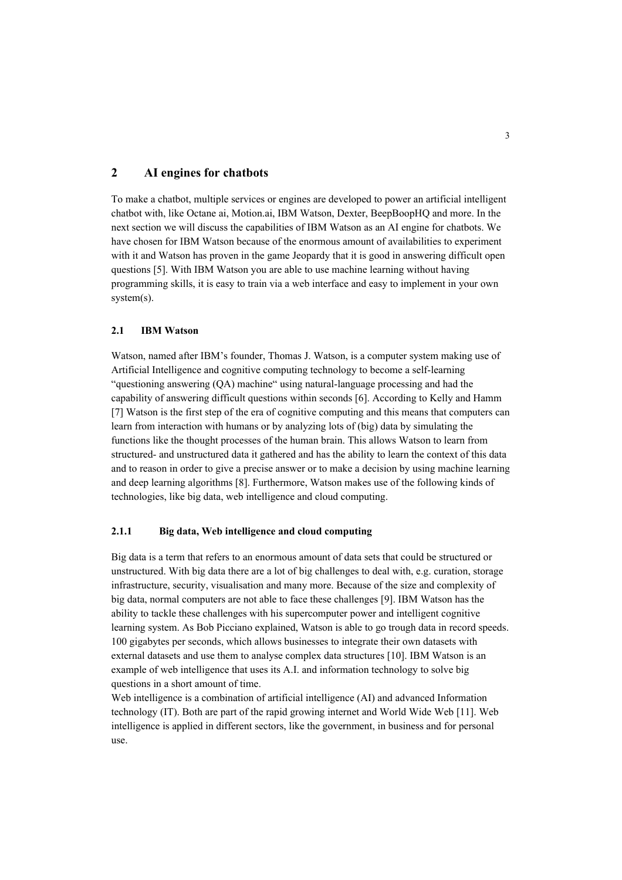# **2 AI engines for chatbots**

To make a chatbot, multiple services or engines are developed to power an artificial intelligent chatbot with, like Octane ai, Motion.ai, IBM Watson, Dexter, BeepBoopHQ and more. In the next section we will discuss the capabilities of IBM Watson as an AI engine for chatbots. We have chosen for IBM Watson because of the enormous amount of availabilities to experiment with it and Watson has proven in the game Jeopardy that it is good in answering difficult open questions [5]. With IBM Watson you are able to use machine learning without having programming skills, it is easy to train via a web interface and easy to implement in your own system(s).

#### **2.1 IBM Watson**

Watson, named after IBM's founder, Thomas J. Watson, is a computer system making use of Artificial Intelligence and cognitive computing technology to become a self-learning "questioning answering (QA) machine" using natural-language processing and had the capability of answering difficult questions within seconds [6]. According to Kelly and Hamm [7] Watson is the first step of the era of cognitive computing and this means that computers can learn from interaction with humans or by analyzing lots of (big) data by simulating the functions like the thought processes of the human brain. This allows Watson to learn from structured- and unstructured data it gathered and has the ability to learn the context of this data and to reason in order to give a precise answer or to make a decision by using machine learning and deep learning algorithms [8]. Furthermore, Watson makes use of the following kinds of technologies, like big data, web intelligence and cloud computing.

## **2.1.1 Big data, Web intelligence and cloud computing**

Big data is a term that refers to an enormous amount of data sets that could be structured or unstructured. With big data there are a lot of big challenges to deal with, e.g. curation, storage infrastructure, security, visualisation and many more. Because of the size and complexity of big data, normal computers are not able to face these challenges [9]. IBM Watson has the ability to tackle these challenges with his supercomputer power and intelligent cognitive learning system. As Bob Picciano explained, Watson is able to go trough data in record speeds. 100 gigabytes per seconds, which allows businesses to integrate their own datasets with external datasets and use them to analyse complex data structures [10]. IBM Watson is an example of web intelligence that uses its A.I. and information technology to solve big questions in a short amount of time.

Web intelligence is a combination of artificial intelligence (AI) and advanced Information technology (IT). Both are part of the rapid growing internet and World Wide Web [11]. Web intelligence is applied in different sectors, like the government, in business and for personal use.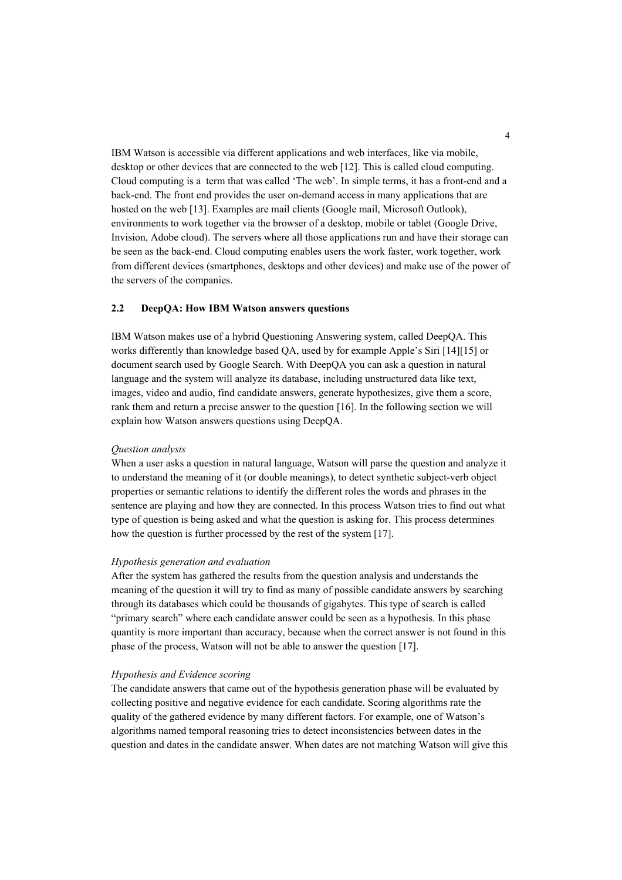IBM Watson is accessible via different applications and web interfaces, like via mobile, desktop or other devices that are connected to the web [12]. This is called cloud computing. Cloud computing is a term that was called 'The web'. In simple terms, it has a front-end and a back-end. The front end provides the user on-demand access in many applications that are hosted on the web [13]. Examples are mail clients (Google mail, Microsoft Outlook), environments to work together via the browser of a desktop, mobile or tablet (Google Drive, Invision, Adobe cloud). The servers where all those applications run and have their storage can be seen as the back-end. Cloud computing enables users the work faster, work together, work from different devices (smartphones, desktops and other devices) and make use of the power of the servers of the companies.

#### **2.2 DeepQA: How IBM Watson answers questions**

IBM Watson makes use of a hybrid Questioning Answering system, called DeepQA. This works differently than knowledge based QA, used by for example Apple's Siri [14][15] or document search used by Google Search. With DeepQA you can ask a question in natural language and the system will analyze its database, including unstructured data like text, images, video and audio, find candidate answers, generate hypothesizes, give them a score, rank them and return a precise answer to the question [16]. In the following section we will explain how Watson answers questions using DeepQA.

### *Question analysis*

When a user asks a question in natural language, Watson will parse the question and analyze it to understand the meaning of it (or double meanings), to detect synthetic subject-verb object properties or semantic relations to identify the different roles the words and phrases in the sentence are playing and how they are connected. In this process Watson tries to find out what type of question is being asked and what the question is asking for. This process determines how the question is further processed by the rest of the system [17].

#### *Hypothesis generation and evaluation*

After the system has gathered the results from the question analysis and understands the meaning of the question it will try to find as many of possible candidate answers by searching through its databases which could be thousands of gigabytes. This type of search is called "primary search" where each candidate answer could be seen as a hypothesis. In this phase quantity is more important than accuracy, because when the correct answer is not found in this phase of the process, Watson will not be able to answer the question [17].

#### *Hypothesis and Evidence scoring*

The candidate answers that came out of the hypothesis generation phase will be evaluated by collecting positive and negative evidence for each candidate. Scoring algorithms rate the quality of the gathered evidence by many different factors. For example, one of Watson's algorithms named temporal reasoning tries to detect inconsistencies between dates in the question and dates in the candidate answer. When dates are not matching Watson will give this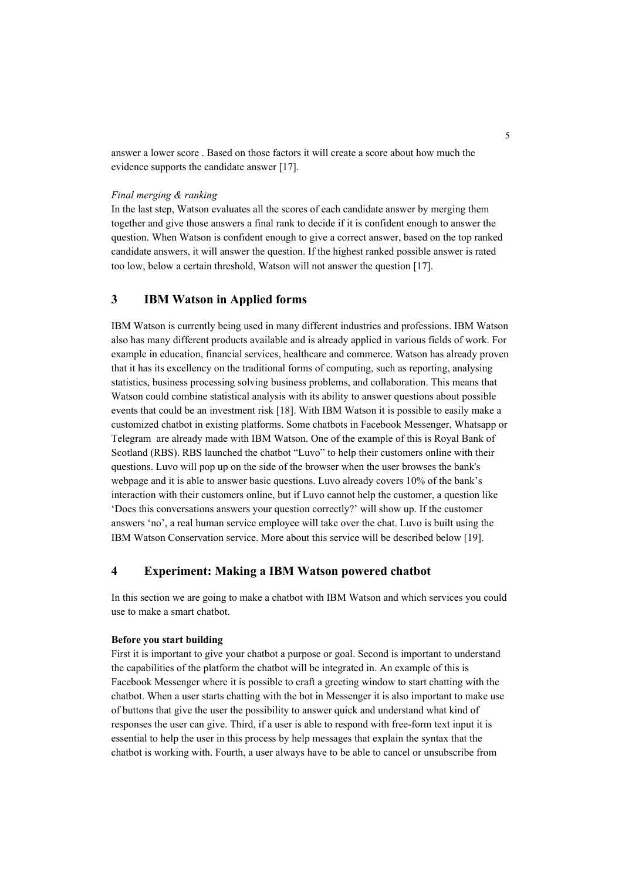answer a lower score . Based on those factors it will create a score about how much the evidence supports the candidate answer [17].

#### *Final merging & ranking*

In the last step, Watson evaluates all the scores of each candidate answer by merging them together and give those answers a final rank to decide if it is confident enough to answer the question. When Watson is confident enough to give a correct answer, based on the top ranked candidate answers, it will answer the question. If the highest ranked possible answer is rated too low, below a certain threshold, Watson will not answer the question [17].

# **3 IBM Watson in Applied forms**

IBM Watson is currently being used in many different industries and professions. IBM Watson also has many different products available and is already applied in various fields of work. For example in education, financial services, healthcare and commerce. Watson has already proven that it has its excellency on the traditional forms of computing, such as reporting, analysing statistics, business processing solving business problems, and collaboration. This means that Watson could combine statistical analysis with its ability to answer questions about possible events that could be an investment risk [18]. With IBM Watson it is possible to easily make a customized chatbot in existing platforms. Some chatbots in Facebook Messenger, Whatsapp or Telegram are already made with IBM Watson. One of the example of this is Royal Bank of Scotland (RBS). RBS launched the chatbot "Luvo" to help their customers online with their questions. Luvo will pop up on the side of the browser when the user browses the bank's webpage and it is able to answer basic questions. Luvo already covers 10% of the bank's interaction with their customers online, but if Luvo cannot help the customer, a question like 'Does this conversations answers your question correctly?' will show up. If the customer answers 'no', a real human service employee will take over the chat. Luvo is built using the IBM Watson Conservation service. More about this service will be described below [19].

# **4 Experiment: Making a IBM Watson powered chatbot**

In this section we are going to make a chatbot with IBM Watson and which services you could use to make a smart chatbot.

### **Before you start building**

First it is important to give your chatbot a purpose or goal. Second is important to understand the capabilities of the platform the chatbot will be integrated in. An example of this is Facebook Messenger where it is possible to craft a greeting window to start chatting with the chatbot. When a user starts chatting with the bot in Messenger it is also important to make use of buttons that give the user the possibility to answer quick and understand what kind of responses the user can give. Third, if a user is able to respond with free-form text input it is essential to help the user in this process by help messages that explain the syntax that the chatbot is working with. Fourth, a user always have to be able to cancel or unsubscribe from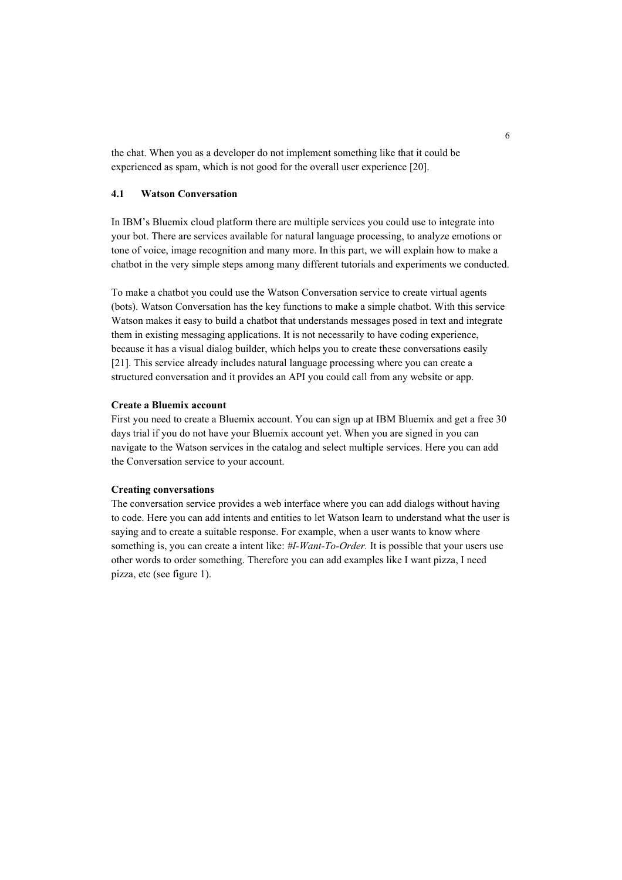the chat. When you as a developer do not implement something like that it could be experienced as spam, which is not good for the overall user experience [20].

## **4.1 Watson Conversation**

In IBM's Bluemix cloud platform there are multiple services you could use to integrate into your bot. There are services available for natural language processing, to analyze emotions or tone of voice, image recognition and many more. In this part, we will explain how to make a chatbot in the very simple steps among many different tutorials and experiments we conducted.

To make a chatbot you could use the Watson Conversation service to create virtual agents (bots). Watson Conversation has the key functions to make a simple chatbot. With this service Watson makes it easy to build a chatbot that understands messages posed in text and integrate them in existing messaging applications. It is not necessarily to have coding experience, because it has a visual dialog builder, which helps you to create these conversations easily [21]. This service already includes natural language processing where you can create a structured conversation and it provides an API you could call from any website or app.

## **Create a Bluemix account**

First you need to create a Bluemix account. You can sign up at IBM Bluemix and get a free 30 days trial if you do not have your Bluemix account yet. When you are signed in you can navigate to the Watson services in the catalog and select multiple services. Here you can add the Conversation service to your account.

## **Creating conversations**

The conversation service provides a web interface where you can add dialogs without having to code. Here you can add intents and entities to let Watson learn to understand what the user is saying and to create a suitable response. For example, when a user wants to know where something is, you can create a intent like: *#I-Want-To-Order.* It is possible that your users use other words to order something. Therefore you can add examples like I want pizza, I need pizza, etc (see figure 1).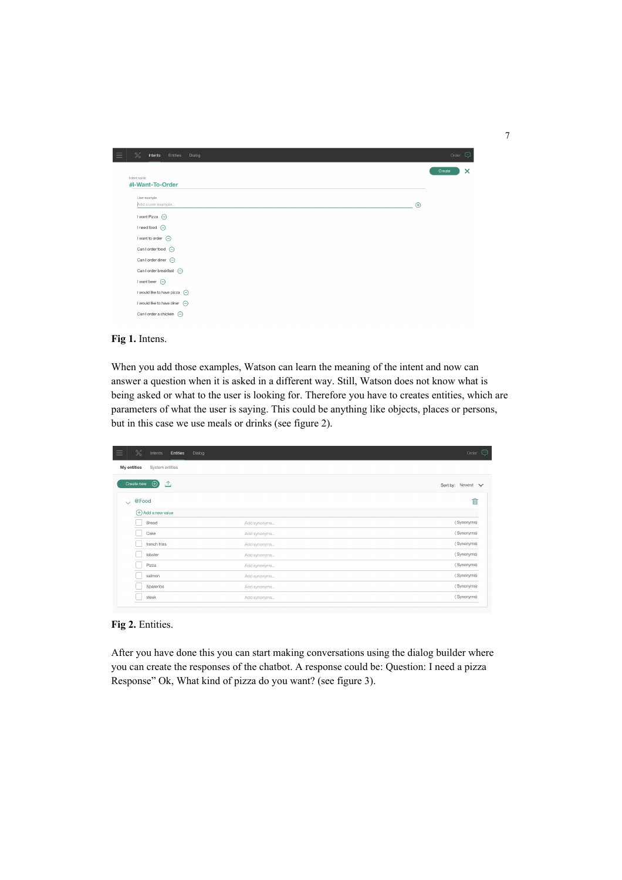| X<br>Entities<br>Dialog<br>Intents                                     |             | ⊕<br>Order         |
|------------------------------------------------------------------------|-------------|--------------------|
| Intent name                                                            |             | $\times$<br>Create |
| #I-Want-To-Order                                                       |             |                    |
| User example                                                           |             |                    |
| Add a user example                                                     | $\bigoplus$ |                    |
| I want Pizza $\ominus$                                                 |             |                    |
| I need food $\bigoplus$                                                |             |                    |
| I want to order $\left(\begin{matrix} -\end{matrix}\right)$            |             |                    |
| Can I order food $\left(\begin{matrix} -1 \end{matrix}\right)$         |             |                    |
| Can I order diner $\bigoplus$                                          |             |                    |
| Can I order breakfast $\bigoplus$                                      |             |                    |
| I want beer $\ominus$                                                  |             |                    |
| I would like to have pizza $\left(\begin{matrix} -\end{matrix}\right)$ |             |                    |
| I would like to have diner $\ominus$                                   |             |                    |
| Can I order a chicken $\left(\begin{matrix} -\end{matrix}\right)$      |             |                    |

## **Fig 1.** Intens.

When you add those examples, Watson can learn the meaning of the intent and now can answer a question when it is asked in a different way. Still, Watson does not know what is being asked or what to the user is looking for. Therefore you have to creates entities, which are parameters of what the user is saying. This could be anything like objects, places or persons, but in this case we use meals or drinks (see figure 2).

|             | $\%$<br>Entities<br>Dialog<br>Intents |              | $\bigcirc$<br>Order |
|-------------|---------------------------------------|--------------|---------------------|
| My entities | System entities                       |              |                     |
|             | Create new $\bigoplus$<br>△           |              | Sort by: Newest V   |
| $\vee$      | @Food                                 |              | 而                   |
|             | (+) Add a new value                   |              |                     |
|             | Bread                                 | Add synonyms | (Synonyms)          |
|             | Cake                                  | Add synonyms | (Synonyms)          |
|             | french fries                          | Add synonyms | (Synonyms)          |
|             | lobster                               | Add synonyms | (Synonyms)          |
|             | Pizza                                 | Add synonyms | (Synonyms)          |
|             | salmon                                | Add synonyms | (Synonyms)          |
|             | Spareribs                             | Add synonyms | (Synonyms)          |
|             | steak                                 | Add synonyms | (Synonyms)          |

**Fig 2.** Entities.

After you have done this you can start making conversations using the dialog builder where you can create the responses of the chatbot. A response could be: Question: I need a pizza Response" Ok, What kind of pizza do you want? (see figure 3).

7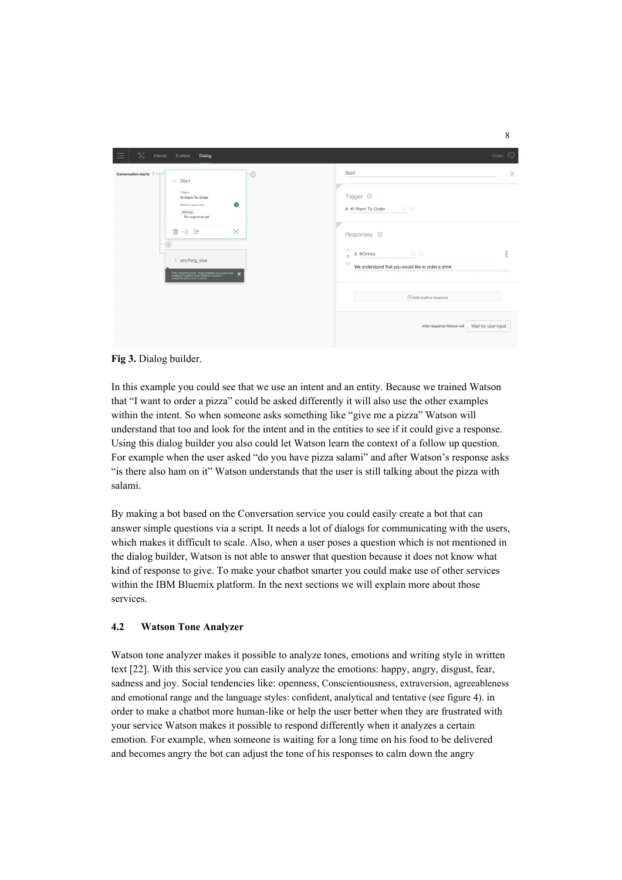

## **Fig 3.** Dialog builder.

In this example you could see that we use an intent and an entity. Because we trained Watson that "I want to order a pizza" could be asked differently it will also use the other examples within the intent. So when someone asks something like "give me a pizza" Watson will understand that too and look for the intent and in the entities to see if it could give a response. Using this dialog builder you also could let Watson learn the context of a follow up question. For example when the user asked "do you have pizza salami" and after Watson's response asks "is there also ham on it" Watson understands that the user is still talking about the pizza with salami.

By making a bot based on the Conversation service you could easily create a bot that can answer simple questions via a script. It needs a lot of dialogs for communicating with the users, which makes it difficult to scale. Also, when a user poses a question which is not mentioned in the dialog builder, Watson is not able to answer that question because it does not know what kind of response to give. To make your chatbot smarter you could make use of other services within the IBM Bluemix platform. In the next sections we will explain more about those services.

# **4.2 Watson Tone Analyzer**

Watson tone analyzer makes it possible to analyze tones, emotions and writing style in written text [22]. With this service you can easily analyze the emotions: happy, angry, disgust, fear, sadness and joy. Social tendencies like: openness, Conscientiousness, extraversion, agreeableness and emotional range and the language styles: confident, analytical and tentative (see figure 4). in order to make a chatbot more human-like or help the user better when they are frustrated with your service Watson makes it possible to respond differently when it analyzes a certain emotion. For example, when someone is waiting for a long time on his food to be delivered and becomes angry the bot can adjust the tone of his responses to calm down the angry

8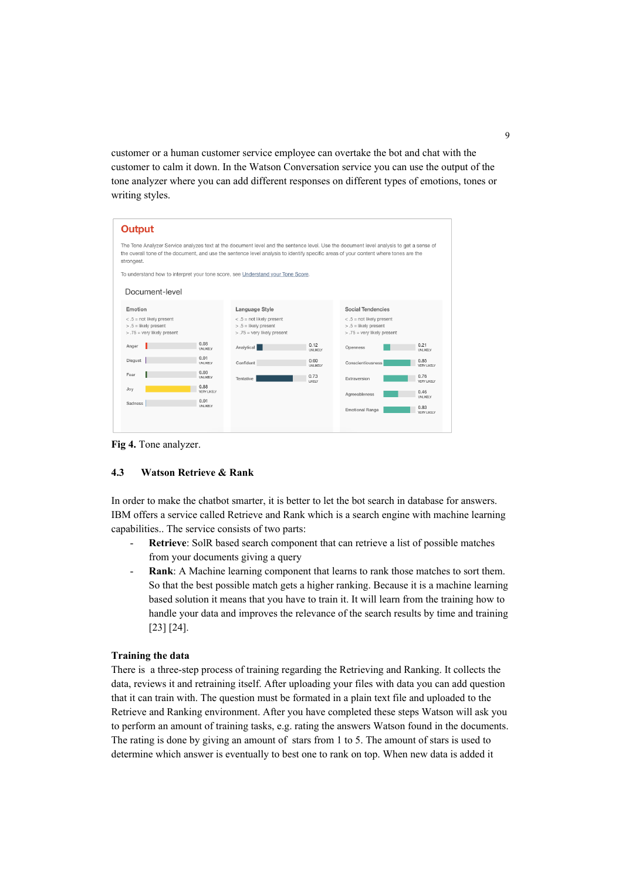customer or a human customer service employee can overtake the bot and chat with the customer to calm it down. In the Watson Conversation service you can use the output of the tone analyzer where you can add different responses on different types of emotions, tones or writing styles.

| <b>Output</b>                                                                             |                         |                                                                                            |                  |                                                                                                                                                                                                                                                                                 |
|-------------------------------------------------------------------------------------------|-------------------------|--------------------------------------------------------------------------------------------|------------------|---------------------------------------------------------------------------------------------------------------------------------------------------------------------------------------------------------------------------------------------------------------------------------|
| strongest.                                                                                |                         |                                                                                            |                  | The Tone Analyzer Service analyzes text at the document level and the sentence level. Use the document level analysis to get a sense of<br>the overall tone of the document, and use the sentence level analysis to identify specific areas of your content where tones are the |
|                                                                                           |                         | To understand how to interpret your tone score, see Understand your Tone Score.            |                  |                                                                                                                                                                                                                                                                                 |
| Document-level                                                                            |                         |                                                                                            |                  |                                                                                                                                                                                                                                                                                 |
| Emotion                                                                                   |                         | Language Style                                                                             |                  | <b>Social Tendencies</b>                                                                                                                                                                                                                                                        |
| $< 0.5$ = not likely present<br>$> .5$ = likely present<br>$> 0.75$ = very likely present |                         | $< 0.5$ = not likely present<br>$> 0.5$ = likely present<br>$> 0.75$ = very likely present |                  | $< .5$ = not likely present<br>$> .5$ = likely present<br>$> 0.75$ = very likely present                                                                                                                                                                                        |
| Anger                                                                                     | 0.03<br>UNLIKELY        | Analytical                                                                                 | 0.12<br>UNLIKELY | 0.21<br>Openness<br>UNI IKELY                                                                                                                                                                                                                                                   |
| Disgust                                                                                   | 0.01<br>UNLIKELY        | Confident                                                                                  | 0.00<br>UNLIKELY | 0.85<br>Conscientiousness<br><b>VERY LIKELY</b>                                                                                                                                                                                                                                 |
| Fear                                                                                      | 0.03<br>UNLIKELY        | Tentative                                                                                  | 0.73<br>LIKELY   | 0.76<br>Extraversion<br><b>VERY LIKELY</b>                                                                                                                                                                                                                                      |
| Joy                                                                                       | 0.88<br>VERY LIKELY     |                                                                                            |                  | 0.46<br>Agreeableness                                                                                                                                                                                                                                                           |
| Sadness                                                                                   | 0.01<br><b>UNLIKELY</b> |                                                                                            |                  | <b>UNLIKELY</b><br>0.83<br><b>Emotional Range</b><br><b>VERY LIKELY</b>                                                                                                                                                                                                         |
|                                                                                           |                         |                                                                                            |                  |                                                                                                                                                                                                                                                                                 |

**Fig 4.** Tone analyzer.

### **4.3 Watson Retrieve & Rank**

In order to make the chatbot smarter, it is better to let the bot search in database for answers. IBM offers a service called Retrieve and Rank which is a search engine with machine learning capabilities.. The service consists of two parts:

- Retrieve: SolR based search component that can retrieve a list of possible matches from your documents giving a query
- **Rank**: A Machine learning component that learns to rank those matches to sort them. So that the best possible match gets a higher ranking. Because it is a machine learning based solution it means that you have to train it. It will learn from the training how to handle your data and improves the relevance of the search results by time and training [23] [24].

#### **Training the data**

There is a three-step process of training regarding the Retrieving and Ranking. It collects the data, reviews it and retraining itself. After uploading your files with data you can add question that it can train with. The question must be formated in a plain text file and uploaded to the Retrieve and Ranking environment. After you have completed these steps Watson will ask you to perform an amount of training tasks, e.g. rating the answers Watson found in the documents. The rating is done by giving an amount of stars from 1 to 5. The amount of stars is used to determine which answer is eventually to best one to rank on top. When new data is added it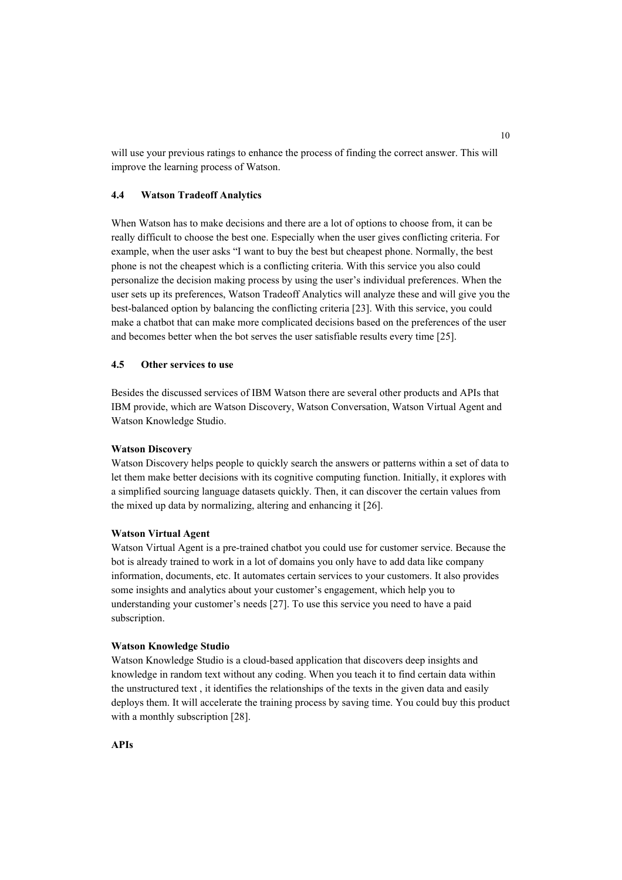will use your previous ratings to enhance the process of finding the correct answer. This will improve the learning process of Watson.

#### **4.4 Watson Tradeoff Analytics**

When Watson has to make decisions and there are a lot of options to choose from it can be really difficult to choose the best one. Especially when the user gives conflicting criteria. For example, when the user asks "I want to buy the best but cheapest phone. Normally, the best phone is not the cheapest which is a conflicting criteria. With this service you also could personalize the decision making process by using the user's individual preferences. When the user sets up its preferences, Watson Tradeoff Analytics will analyze these and will give you the best-balanced option by balancing the conflicting criteria [23]. With this service, you could make a chatbot that can make more complicated decisions based on the preferences of the user and becomes better when the bot serves the user satisfiable results every time [25].

## **4.5 Other services to use**

Besides the discussed services of IBM Watson there are several other products and APIs that IBM provide, which are Watson Discovery, Watson Conversation, Watson Virtual Agent and Watson Knowledge Studio.

## **Watson Discovery**

Watson Discovery helps people to quickly search the answers or patterns within a set of data to let them make better decisions with its cognitive computing function. Initially, it explores with a simplified sourcing language datasets quickly. Then, it can discover the certain values from the mixed up data by normalizing, altering and enhancing it [26].

### **Watson Virtual Agent**

Watson Virtual Agent is a pre-trained chatbot you could use for customer service. Because the bot is already trained to work in a lot of domains you only have to add data like company information, documents, etc. It automates certain services to your customers. It also provides some insights and analytics about your customer's engagement, which help you to understanding your customer's needs [27]. To use this service you need to have a paid subscription.

#### **Watson Knowledge Studio**

Watson Knowledge Studio is a cloud-based application that discovers deep insights and knowledge in random text without any coding. When you teach it to find certain data within the unstructured text , it identifies the relationships of the texts in the given data and easily deploys them. It will accelerate the training process by saving time. You could buy this product with a monthly subscription [28].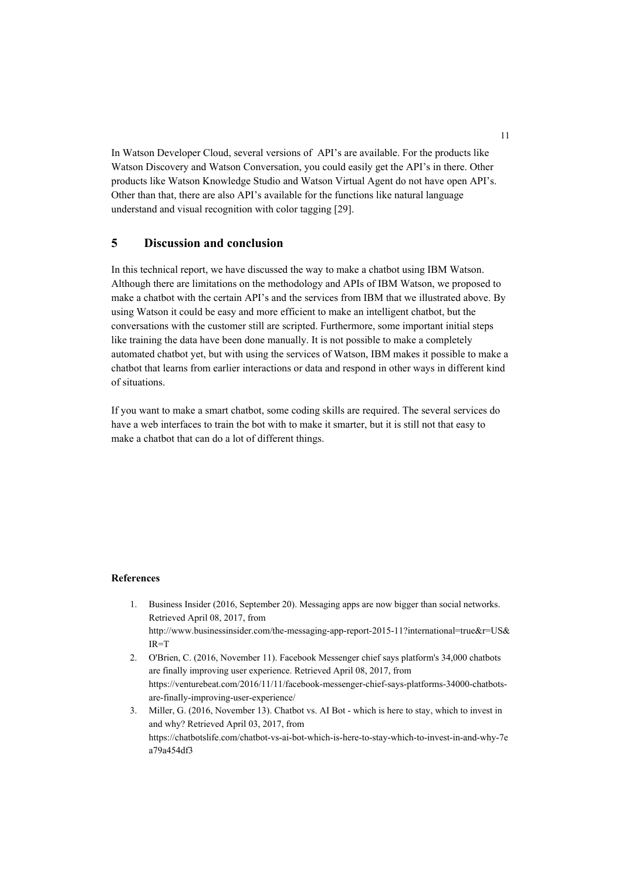In Watson Developer Cloud, several versions of API's are available. For the products like Watson Discovery and Watson Conversation, you could easily get the API's in there. Other products like Watson Knowledge Studio and Watson Virtual Agent do not have open API's. Other than that, there are also API's available for the functions like natural language understand and visual recognition with color tagging [29].

# **5 Discussion and conclusion**

In this technical report, we have discussed the way to make a chatbot using IBM Watson. Although there are limitations on the methodology and APIs of IBM Watson, we proposed to make a chatbot with the certain API's and the services from IBM that we illustrated above. By using Watson it could be easy and more efficient to make an intelligent chatbot, but the conversations with the customer still are scripted. Furthermore, some important initial steps like training the data have been done manually. It is not possible to make a completely automated chatbot yet, but with using the services of Watson, IBM makes it possible to make a chatbot that learns from earlier interactions or data and respond in other ways in different kind of situations.

If you want to make a smart chatbot, some coding skills are required. The several services do have a web interfaces to train the bot with to make it smarter, but it is still not that easy to make a chatbot that can do a lot of different things.

#### **References**

- 1. Business Insider (2016, September 20). Messaging apps are now bigger than social networks. Retrieved April 08, 2017, from http://www.businessinsider.com/the-messaging-app-report-2015-11?international=true&r=US& IR=T
- 2. O'Brien, C. (2016, November 11). Facebook Messenger chief says platform's 34,000 chatbots are finally improving user experience. Retrieved April 08, 2017, from https://venturebeat.com/2016/11/11/facebook-messenger-chief-says-platforms-34000-chatbotsare-finally-improving-user-experience/
- 3. Miller, G. (2016, November 13). Chatbot vs. AI Bot which is here to stay, which to invest in and why? Retrieved April 03, 2017, from https://chatbotslife.com/chatbot-vs-ai-bot-which-is-here-to-stay-which-to-invest-in-and-why-7e a79a454df3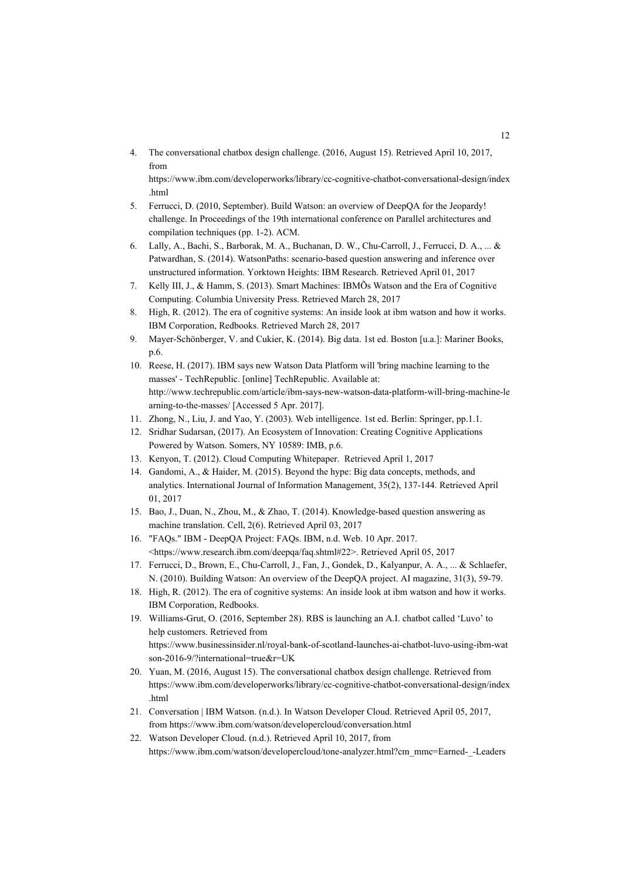4. The conversational chatbox design challenge. (2016, August 15). Retrieved April 10, 2017, from

https://www.ibm.com/developerworks/library/cc-cognitive-chatbot-conversational-design/index .html

- 5. Ferrucci, D. (2010, September). Build Watson: an overview of DeepQA for the Jeopardy! challenge. In Proceedings of the 19th international conference on Parallel architectures and compilation techniques (pp. 1-2). ACM.
- 6. Lally, A., Bachi, S., Barborak, M. A., Buchanan, D. W., Chu-Carroll, J., Ferrucci, D. A., ... & Patwardhan, S. (2014). WatsonPaths: scenario-based question answering and inference over unstructured information. Yorktown Heights: IBM Research. Retrieved April 01, 2017
- 7. Kelly III, J., & Hamm, S. (2013). Smart Machines: IBMÕs Watson and the Era of Cognitive Computing. Columbia University Press. Retrieved March 28, 201[7](https://books.google.nl/books?hl=nl&lr=&id=U9arAgAAQBAJ&oi=fnd&pg=PA301&dq=Kelly+and+Hamm,+2013&ots=LGzL5Q5nja&sig=AFLRylJ5v9gUFVcPAmks8euxplc#v=onepage&q=Kelly%20and%20Hamm%2C%202013&f=false)
- 8. High, R. (2012). The era of cognitive systems: An inside look at ibm watson and how it works. IBM Corporation, Redbooks. Retrieved March 28, 2017
- 9. Mayer-Schönberger, V. and Cukier, K. (2014). Big data. 1st ed. Boston [u.a.]: Mariner Books, p.6.
- 10. Reese, H. (2017). IBM says new Watson Data Platform will 'bring machine learning to the masses' - TechRepublic. [online] TechRepublic. Available at: http://www.techrepublic.com/article/ibm-says-new-watson-data-platform-will-bring-machine-le arning-to-the-masses/ [Accessed 5 Apr. 2017].
- 11. Zhong, N., Liu, J. and Yao, Y. (2003). Web intelligence. 1st ed. Berlin: Springer, pp.1.1.
- 12. Sridhar Sudarsan, (2017). An Ecosystem of Innovation: Creating Cognitive Applications Powered by Watson. Somers, NY 10589: IMB, p.6.
- 13. Kenyon, T. (2012). Cloud Computing Whitepaper. Retrieved April 1, 2017
- 14. Gandomi, A., & Haider, M. (2015). Beyond the hype: Big data concepts, methods, and analytics. International Journal of Information Management, 35(2), 137-144. Retrieved April 01, 2017
- 15. Bao, J., Duan, N., Zhou, M., & Zhao, T. (2014). Knowledge-based question answering as machine translation. Cell, 2(6). Retrieved April 03, 2017
- 16. "FAQs." IBM DeepQA Project: FAQs. IBM, n.d. Web. 10 Apr. 2017. <https://www.research.ibm.com/deepqa/faq.shtml#22>. Retrieved April 05, 201[7](https://www.research.ibm.com/deepqa/faq.shtml#22)
- 17. Ferrucci, D., Brown, E., Chu-Carroll, J., Fan, J., Gondek, D., Kalyanpur, A. A., ... & Schlaefer, N. (2010). Building Watson: An overview of the DeepQA project. AI magazine, 31(3), 59-79.
- 18. High, R. (2012). The era of cognitive systems: An inside look at ibm watson and how it works. IBM Corporation, Redbooks.
- 19. Williams-Grut, O. (2016, September 28). RBS is launching an A.I. chatbot called 'Luvo' to help customers. Retrieved from https://www.businessinsider.nl/royal-bank-of-scotland-launches-ai-chatbot-luvo-using-ibm-wat son-2016-9/?international=true&r=UK
- 20. Yuan, M. (2016, August 15). The conversational chatbox design challenge. Retrieved from https://www.ibm.com/developerworks/library/cc-cognitive-chatbot-conversational-design/index .html
- 21. Conversation | IBM Watson. (n.d.). In Watson Developer Cloud. Retrieved April 05, 2017, from https://www.ibm.com/watson/developercloud/conversation.html
- 22. Watson Developer Cloud. (n.d.). Retrieved April 10, 2017, from https://www.ibm.com/watson/developercloud/tone-analyzer.html?cm\_mmc=Earned-\_-Leaders